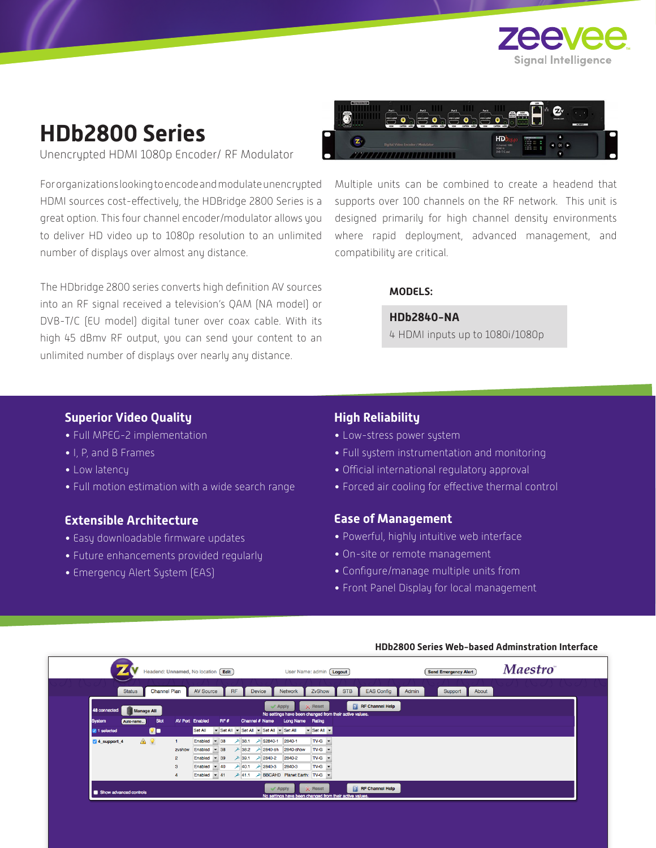

# **HDb2800 Series**

Unencrypted HDMI 1080p Encoder/ RF Modulator

For organizations looking to encode and modulate unencrypted HDMI sources cost-effectively, the HDBridge 2800 Series is a great option. This four channel encoder/modulator allows you to deliver HD video up to 1080p resolution to an unlimited number of displays over almost any distance.

The HDbridge 2800 series converts high definition AV sources into an RF signal received a television's QAM (NA model) or DVB-T/C (EU model) digital tuner over coax cable. With its high 45 dBmv RF output, you can send your content to an unlimited number of displays over nearly any distance.



Multiple units can be combined to create a headend that supports over 100 channels on the RF network. This unit is designed primarily for high channel density environments where rapid deployment, advanced management, and compatibility are critical.

### **MODELS:**

## **HDb2840-NA**

4 HDMI inputs up to 1080i/1080p

# **Superior Video Quality**

- Full MPEG-2 implementation
- I, P, and B Frames
- Low latency
- Full motion estimation with a wide search range

# **Extensible Architecture**

- Easy downloadable firmware updates
- Future enhancements provided regularly
- Emergency Alert System (EAS)

# **High Reliability**

- Low-stress power system
- Full system instrumentation and monitoring
- Official international regulatory approval
- Forced air cooling for effective thermal control

# **Ease of Management**

- Powerful, highly intuitive web interface
- On-site or remote management
- Configure/manage multiple units from
- Front Panel Display for local management

| <b>Status</b>                     | <b>Channel Plan</b> |                | <b>AV Source</b>                |                                | <b>RF</b> |          | <b>Device</b> |                                       | Network                              | ZvShow                                              | <b>STB</b><br><b>EAS Config</b>                                                   | Admin | Support<br>About |  |
|-----------------------------------|---------------------|----------------|---------------------------------|--------------------------------|-----------|----------|---------------|---------------------------------------|--------------------------------------|-----------------------------------------------------|-----------------------------------------------------------------------------------|-------|------------------|--|
| 48 connected<br><b>Manage All</b> |                     |                |                                 |                                |           |          |               | $\mathcal$ Apply                      |                                      | $\times$ Reset                                      | <b>RF</b> Channel Help<br>No settings have been changed from their active values. |       |                  |  |
| <b>System</b><br>Auto-name        | Slot                |                | <b>AV Port Enabled</b>          |                                | RF#       |          |               | Channel # Name                        | Long Name Rating                     |                                                     |                                                                                   |       |                  |  |
| <b>M</b> 1 selected               | <b>Qo</b>           |                | Set All                         |                                |           |          |               | Set All v Set All v Set All v Set All |                                      | $\blacktriangleright$ Set All $\blacktriangleright$ |                                                                                   |       |                  |  |
| △♀<br>4 support 4                 |                     |                | Enabled                         | $-38$                          |           | $+38.1$  |               | $2840-1$                              | 2840-1                               | $TV-G$ $\rightarrow$                                |                                                                                   |       |                  |  |
|                                   |                     | zvshow         | Enabled $\overline{8}$ 38       |                                |           |          |               | <b>上</b> 38.2 → 2840-sh               | 2840-show                            | $TV-G$                                              |                                                                                   |       |                  |  |
|                                   |                     | $\overline{2}$ | Enabled                         | $-39$                          |           | $+ 39.1$ |               | $2840 - 2$                            | 2840-2                               | $TV-G$ $\rightarrow$                                |                                                                                   |       |                  |  |
|                                   |                     | 3              | Enabled                         | 40<br>$\overline{\phantom{0}}$ |           | 240.1    |               | $-2840-3$                             | 2840-3                               | $TV-G$                                              |                                                                                   |       |                  |  |
|                                   |                     |                | Enabled $\blacktriangledown$ 41 |                                |           |          |               |                                       | → 41.1 → BBCAHD Planet Earth: TV-G ▼ |                                                     |                                                                                   |       |                  |  |

#### **HDb2800 Series Web-based Adminstration Interface**